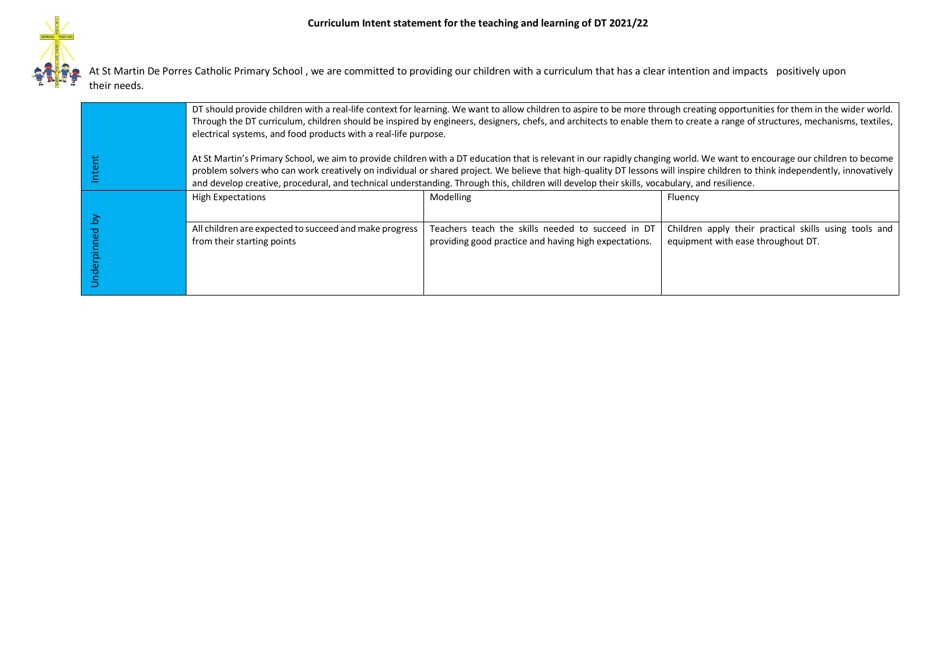At St Martin De Porres Catholic Primary School , we are committed to providing our children with a curriculum that has a clear intention and impacts positively upon their needs.

|        | DT should provide children with a real-life context for learning. We want to allow children to aspire to be more through creating opportunities for them in the wider world.<br>Through the DT curriculum, children should be inspired by engineers, designers, chefs, and architects to enable them to create a range of structures, mechanisms, textiles,<br>electrical systems, and food products with a real-life purpose.                                                                           |                                                                                                            |                                                                                             |
|--------|----------------------------------------------------------------------------------------------------------------------------------------------------------------------------------------------------------------------------------------------------------------------------------------------------------------------------------------------------------------------------------------------------------------------------------------------------------------------------------------------------------|------------------------------------------------------------------------------------------------------------|---------------------------------------------------------------------------------------------|
| "      | At St Martin's Primary School, we aim to provide children with a DT education that is relevant in our rapidly changing world. We want to encourage our children to become<br>problem solvers who can work creatively on individual or shared project. We believe that high-quality DT lessons will inspire children to think independently, innovatively<br>and develop creative, procedural, and technical understanding. Through this, children will develop their skills, vocabulary, and resilience. |                                                                                                            |                                                                                             |
|        | <b>High Expectations</b>                                                                                                                                                                                                                                                                                                                                                                                                                                                                                 | Modelling                                                                                                  | Fluency                                                                                     |
| 6<br>ರ | All children are expected to succeed and make progress<br>from their starting points                                                                                                                                                                                                                                                                                                                                                                                                                     | Teachers teach the skills needed to succeed in DT<br>providing good practice and having high expectations. | Children apply their practical skills using tools and<br>equipment with ease throughout DT. |